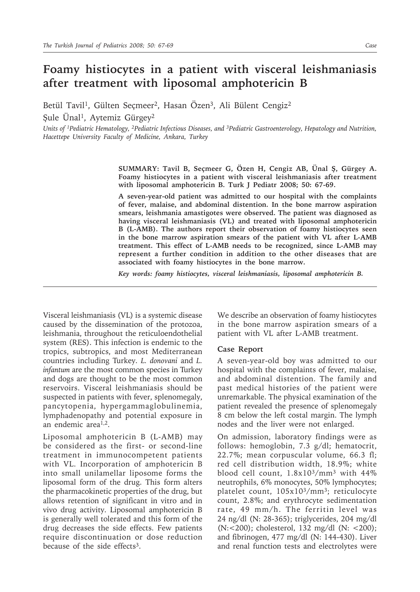## **Foamy histiocytes in a patient with visceral leishmaniasis after treatment with liposomal amphotericin B**

Betül Tavil<sup>1</sup>, Gülten Seçmeer<sup>2</sup>, Hasan Özen<sup>3</sup>, Ali Bülent Cengiz<sup>2</sup>

Şule Ünal1, Aytemiz Gürgey2

*Units of 1Pediatric Hematology, 2Pediatric Infectious Diseases, and 3Pediatric Gastroenterology, Hepatology and Nutrition, Hacettepe University Faculty of Medicine, Ankara, Turkey*

> **SUMMARY: Tavil B, Seçmeer G, Özen H, Cengiz AB, Ünal Ş, Gürgey A. Foamy histiocytes in a patient with visceral leishmaniasis after treatment with liposomal amphotericin B. Turk J Pediatr 2008; 50: 67-69.**

> **A seven-year-old patient was admitted to our hospital with the complaints of fever, malaise, and abdominal distention. In the bone marrow aspiration smears, leishmania amastigotes were observed. The patient was diagnosed as having visceral leishmaniasis (VL) and treated with liposomal amphotericin B (L-AMB). The authors report their observation of foamy histiocytes seen in the bone marrow aspiration smears of the patient with VL after L-AMB treatment. This effect of L-AMB needs to be recognized, since L-AMB may represent a further condition in addition to the other diseases that are associated with foamy histiocytes in the bone marrow.**

*Key words: foamy histiocytes, visceral leishmaniasis, liposomal amphotericin B.*

Visceral leishmaniasis (VL) is a systemic disease caused by the dissemination of the protozoa, leishmania, throughout the reticuloendothelial system (RES). This infection is endemic to the tropics, subtropics, and most Mediterranean countries including Turkey. *L. donovani* and *L. infantum* are the most common species in Turkey and dogs are thought to be the most common reservoirs. Visceral leishmaniasis should be suspected in patients with fever, splenomegaly, pancytopenia, hypergammaglobulinemia, lymphadenopathy and potential exposure in an endemic area $1,2$ .

Liposomal amphotericin B (L-AMB) may be considered as the first- or second-line treatment in immunocompetent patients with VL. Incorporation of amphotericin B into small unilamellar liposome forms the liposomal form of the drug. This form alters the pharmacokinetic properties of the drug, but allows retention of significant in vitro and in vivo drug activity. Liposomal amphotericin B is generally well tolerated and this form of the drug decreases the side effects. Few patients require discontinuation or dose reduction because of the side effects3.

We describe an observation of foamy histiocytes in the bone marrow aspiration smears of a patient with VL after L-AMB treatment.

## **Case Report**

A seven-year-old boy was admitted to our hospital with the complaints of fever, malaise, and abdominal distention. The family and past medical histories of the patient were unremarkable. The physical examination of the patient revealed the presence of splenomegaly 8 cm below the left costal margin. The lymph nodes and the liver were not enlarged.

On admission, laboratory findings were as follows: hemoglobin, 7.3 g/dl; hematocrit, 22.7%; mean corpuscular volume, 66.3 fl; red cell distribution width, 18.9%; white blood cell count, 1.8x103/mm3 with 44% neutrophils, 6% monocytes, 50% lymphocytes; platelet count, 105x103/mm3; reticulocyte count, 2.8%; and erythrocyte sedimentation rate, 49 mm/h. The ferritin level was 24 ng/dl (N: 28-365); triglycerides, 204 mg/dl (N:<200); cholesterol, 132 mg/dl (N: <200); and fibrinogen, 477 mg/dl (N: 144-430). Liver and renal function tests and electrolytes were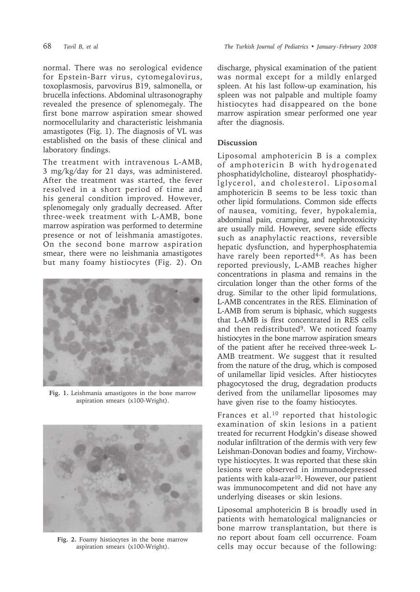normal. There was no serological evidence for Epstein-Barr virus, cytomegalovirus, toxoplasmosis, parvovirus B19, salmonella, or brucella infections. Abdominal ultrasonography revealed the presence of splenomegaly. The first bone marrow aspiration smear showed normocellularity and characteristic leishmania amastigotes (Fig. 1). The diagnosis of VL was established on the basis of these clinical and laboratory findings.

The treatment with intravenous L-AMB, 3 mg/kg/day for 21 days, was administered. After the treatment was started, the fever resolved in a short period of time and his general condition improved. However, splenomegaly only gradually decreased. After three-week treatment with L-AMB, bone marrow aspiration was performed to determine presence or not of leishmania amastigotes. On the second bone marrow aspiration smear, there were no leishmania amastigotes but many foamy histiocytes (Fig. 2). On



**Fig. 1.** Leishmania amastigotes in the bone marrow aspiration smears (x100-Wright).



**Fig. 2.** Foamy histiocytes in the bone marrow aspiration smears (x100-Wright).

discharge, physical examination of the patient was normal except for a mildly enlarged spleen. At his last follow-up examination, his spleen was not palpable and multiple foamy histiocytes had disappeared on the bone marrow aspiration smear performed one year after the diagnosis.

## **Discussion**

Liposomal amphotericin B is a complex of amphotericin B with hydrogenated phosphatidylcholine, distearoyl phosphatidylglycerol, and cholesterol. Liposomal amphotericin B seems to be less toxic than other lipid formulations. Common side effects of nausea, vomiting, fever, hypokalemia, abdominal pain, cramping, and nephrotoxicity are usually mild. However, severe side effects such as anaphylactic reactions, reversible hepatic dysfunction, and hyperphosphatemia have rarely been reported<sup>4-8</sup>. As has been reported previously, L-AMB reaches higher concentrations in plasma and remains in the circulation longer than the other forms of the drug. Similar to the other lipid formulations, L-AMB concentrates in the RES. Elimination of L-AMB from serum is biphasic, which suggests that L-AMB is first concentrated in RES cells and then redistributed<sup>9</sup>. We noticed foamy histiocytes in the bone marrow aspiration smears of the patient after he received three-week L-AMB treatment. We suggest that it resulted from the nature of the drug, which is composed of unilamellar lipid vesicles. After histiocytes phagocytosed the drug, degradation products derived from the unilamellar liposomes may have given rise to the foamy histiocytes.

Frances et al.10 reported that histologic examination of skin lesions in a patient treated for recurrent Hodgkin's disease showed nodular infiltration of the dermis with very few Leishman-Donovan bodies and foamy, Virchowtype histiocytes. It was reported that these skin lesions were observed in immunodepressed patients with kala-azar<sup>10</sup>. However, our patient was immunocompetent and did not have any underlying diseases or skin lesions.

Liposomal amphotericin B is broadly used in patients with hematological malignancies or bone marrow transplantation, but there is no report about foam cell occurrence. Foam cells may occur because of the following: